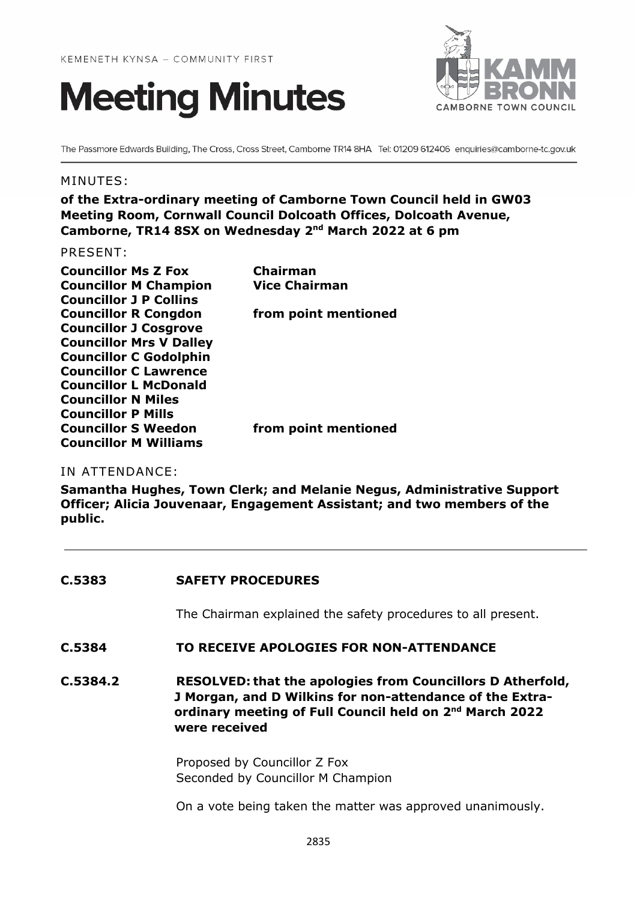



The Passmore Edwards Building, The Cross, Cross Street, Camborne TR14 8HA Tel: 01209 612406 enquiries@camborne-tc.gov.uk

## MINUTES:

**of the Extra-ordinary meeting of Camborne Town Council held in GW03 Meeting Room, Cornwall Council Dolcoath Offices, Dolcoath Avenue, Camborne, TR14 8SX on Wednesday 2nd March 2022 at 6 pm**

## PRESENT:

| <b>Councillor Ms Z Fox</b>     | Chairman             |
|--------------------------------|----------------------|
| <b>Councillor M Champion</b>   | <b>Vice Chairman</b> |
| <b>Councillor J P Collins</b>  |                      |
| <b>Councillor R Congdon</b>    | from point mentioned |
| <b>Councillor J Cosgrove</b>   |                      |
| <b>Councillor Mrs V Dalley</b> |                      |
| <b>Councillor C Godolphin</b>  |                      |
| <b>Councillor C Lawrence</b>   |                      |
| <b>Councillor L McDonald</b>   |                      |
| <b>Councillor N Miles</b>      |                      |
| <b>Councillor P Mills</b>      |                      |
| <b>Councillor S Weedon</b>     | from point mentioned |
| <b>Councillor M Williams</b>   |                      |

IN ATTENDANCE:

**Samantha Hughes, Town Clerk; and Melanie Negus, Administrative Support Officer; Alicia Jouvenaar, Engagement Assistant; and two members of the public.**

| C.5383   | <b>SAFETY PROCEDURES</b>                                                                                                                                                                                              |
|----------|-----------------------------------------------------------------------------------------------------------------------------------------------------------------------------------------------------------------------|
|          | The Chairman explained the safety procedures to all present.                                                                                                                                                          |
| C.5384   | TO RECEIVE APOLOGIES FOR NON-ATTENDANCE                                                                                                                                                                               |
| C.5384.2 | <b>RESOLVED: that the apologies from Councillors D Atherfold,</b><br>J Morgan, and D Wilkins for non-attendance of the Extra-<br>ordinary meeting of Full Council held on 2 <sup>nd</sup> March 2022<br>were received |
|          | Proposed by Councillor Z Fox<br>Seconded by Councillor M Champion                                                                                                                                                     |
|          | On a vote being taken the matter was approved unanimously.                                                                                                                                                            |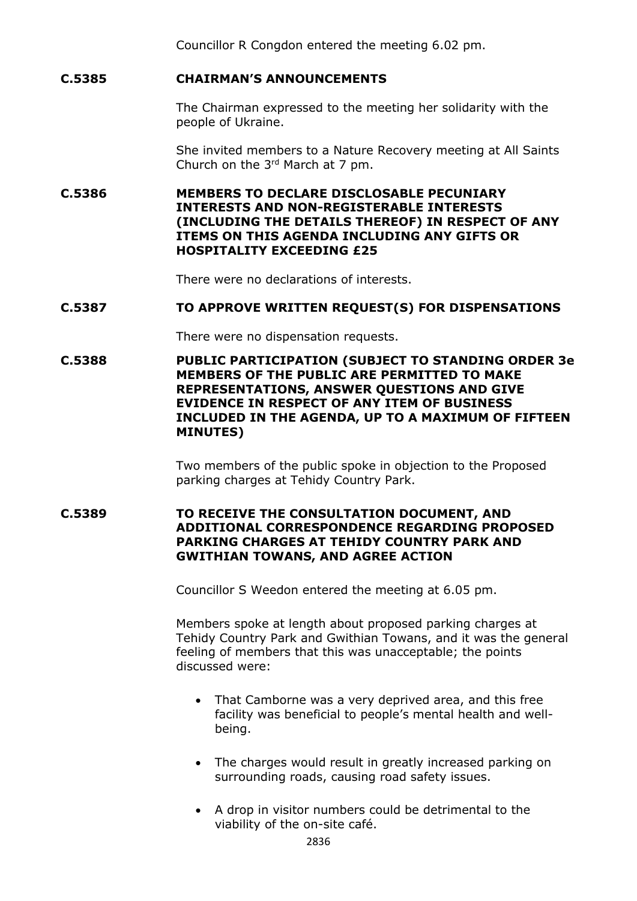Councillor R Congdon entered the meeting 6.02 pm.

# **C.5385 CHAIRMAN'S ANNOUNCEMENTS**

The Chairman expressed to the meeting her solidarity with the people of Ukraine.

She invited members to a Nature Recovery meeting at All Saints Church on the  $3<sup>rd</sup>$  March at 7 pm.

**C.5386 MEMBERS TO DECLARE DISCLOSABLE PECUNIARY INTERESTS AND NON-REGISTERABLE INTERESTS (INCLUDING THE DETAILS THEREOF) IN RESPECT OF ANY ITEMS ON THIS AGENDA INCLUDING ANY GIFTS OR HOSPITALITY EXCEEDING £25**

There were no declarations of interests.

### **C.5387 TO APPROVE WRITTEN REQUEST(S) FOR DISPENSATIONS**

There were no dispensation requests.

**C.5388 PUBLIC PARTICIPATION (SUBJECT TO STANDING ORDER 3e MEMBERS OF THE PUBLIC ARE PERMITTED TO MAKE REPRESENTATIONS, ANSWER QUESTIONS AND GIVE EVIDENCE IN RESPECT OF ANY ITEM OF BUSINESS INCLUDED IN THE AGENDA, UP TO A MAXIMUM OF FIFTEEN MINUTES)**

> Two members of the public spoke in objection to the Proposed parking charges at Tehidy Country Park.

**C.5389 TO RECEIVE THE CONSULTATION DOCUMENT, AND ADDITIONAL CORRESPONDENCE REGARDING PROPOSED PARKING CHARGES AT TEHIDY COUNTRY PARK AND GWITHIAN TOWANS, AND AGREE ACTION**

Councillor S Weedon entered the meeting at 6.05 pm.

Members spoke at length about proposed parking charges at Tehidy Country Park and Gwithian Towans, and it was the general feeling of members that this was unacceptable; the points discussed were:

- That Camborne was a very deprived area, and this free facility was beneficial to people's mental health and wellbeing.
- The charges would result in greatly increased parking on surrounding roads, causing road safety issues.
- A drop in visitor numbers could be detrimental to the viability of the on-site café.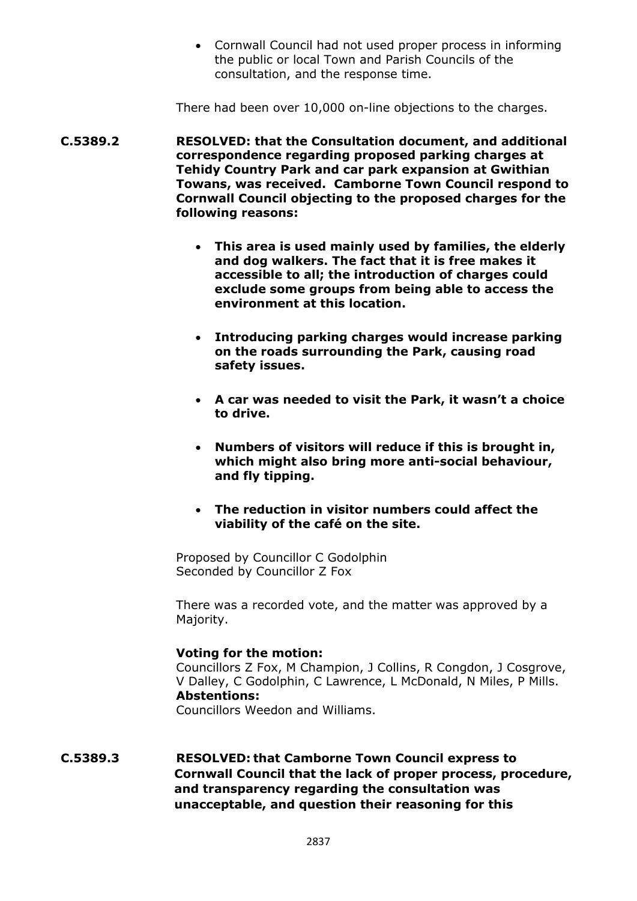• Cornwall Council had not used proper process in informing the public or local Town and Parish Councils of the consultation, and the response time.

There had been over 10,000 on-line objections to the charges.

- **C.5389.2 RESOLVED: that the Consultation document, and additional correspondence regarding proposed parking charges at Tehidy Country Park and car park expansion at Gwithian Towans, was received. Camborne Town Council respond to Cornwall Council objecting to the proposed charges for the following reasons:**
	- **This area is used mainly used by families, the elderly and dog walkers. The fact that it is free makes it accessible to all; the introduction of charges could exclude some groups from being able to access the environment at this location.**
	- **Introducing parking charges would increase parking on the roads surrounding the Park, causing road safety issues.**
	- **A car was needed to visit the Park, it wasn't a choice to drive.**
	- **Numbers of visitors will reduce if this is brought in, which might also bring more anti-social behaviour, and fly tipping.**
	- **The reduction in visitor numbers could affect the viability of the café on the site.**

Proposed by Councillor C Godolphin Seconded by Councillor Z Fox

There was a recorded vote, and the matter was approved by a Majority.

### **Voting for the motion:**

Councillors Z Fox, M Champion, J Collins, R Congdon, J Cosgrove, V Dalley, C Godolphin, C Lawrence, L McDonald, N Miles, P Mills. **Abstentions:**

Councillors Weedon and Williams.

**C.5389.3 RESOLVED: that Camborne Town Council express to Cornwall Council that the lack of proper process, procedure, and transparency regarding the consultation was unacceptable, and question their reasoning for this**